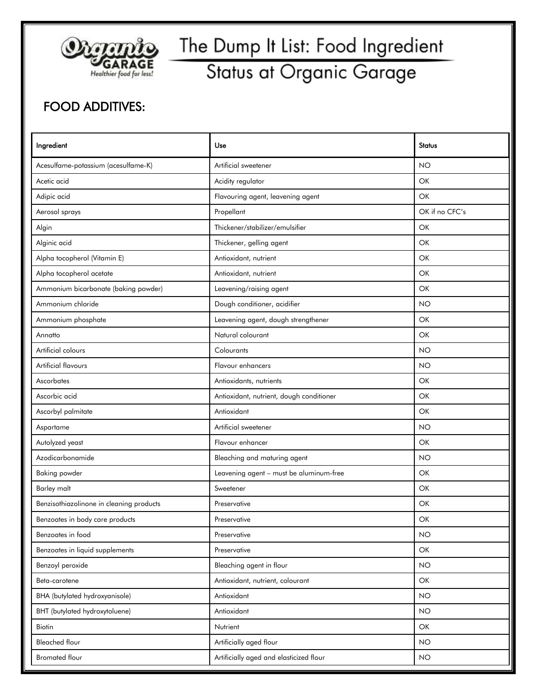

#### Status at Organic Garage

#### FOOD ADDITIVES:

| Ingredient                               | Use                                      | <b>Status</b>  |
|------------------------------------------|------------------------------------------|----------------|
| Acesulfame-potassium (acesulfame-K)      | Artificial sweetener                     | <b>NO</b>      |
| Acetic acid                              | Acidity regulator                        | OK             |
| Adipic acid                              | Flavouring agent, leavening agent        | OK             |
| Aerosol sprays                           | Propellant                               | OK if no CFC's |
| Algin                                    | Thickener/stabilizer/emulsifier          | OK             |
| Alginic acid                             | Thickener, gelling agent                 | OK             |
| Alpha tocopherol (Vitamin E)             | Antioxidant, nutrient                    | OK             |
| Alpha tocopherol acetate                 | Antioxidant, nutrient                    | OK             |
| Ammonium bicarbonate (baking powder)     | Leavening/raising agent                  | OK             |
| Ammonium chloride                        | Dough conditioner, acidifier             | <b>NO</b>      |
| Ammonium phosphate                       | Leavening agent, dough strengthener      | OK             |
| Annatto                                  | Natural colourant                        | OK             |
| Artificial colours                       | Colourants                               | <b>NO</b>      |
| <b>Artificial flavours</b>               | Flavour enhancers                        | <b>NO</b>      |
| Ascorbates                               | Antioxidants, nutrients                  | OK             |
| Ascorbic acid                            | Antioxidant, nutrient, dough conditioner | OK             |
| Ascorbyl palmitate                       | Antioxidant                              | OK             |
| Aspartame                                | Artificial sweetener                     | <b>NO</b>      |
| Autolyzed yeast                          | Flavour enhancer                         | OK             |
| Azodicarbonamide                         | Bleaching and maturing agent             | <b>NO</b>      |
| <b>Baking powder</b>                     | Leavening agent - must be aluminum-free  | OK             |
| <b>Barley malt</b>                       | Sweetener                                | OK             |
| Benzisothiazolinone in cleaning products | Preservative                             | OK             |
| Benzoates in body care products          | Preservative                             | OK             |
| Benzoates in food                        | Preservative                             | <b>NO</b>      |
| Benzoates in liquid supplements          | Preservative                             | OK             |
| Benzoyl peroxide                         | Bleaching agent in flour                 | <b>NO</b>      |
| Beta-carotene                            | Antioxidant, nutrient, colourant         | OK             |
| <b>BHA</b> (butylated hydroxyanisole)    | Antioxidant                              | <b>NO</b>      |
| BHT (butylated hydroxytoluene)           | Antioxidant                              | <b>NO</b>      |
| Biotin                                   | Nutrient                                 | OK             |
| <b>Bleached flour</b>                    | Artificially aged flour                  | <b>NO</b>      |
| <b>Bromated flour</b>                    | Artificially aged and elasticized flour  | <b>NO</b>      |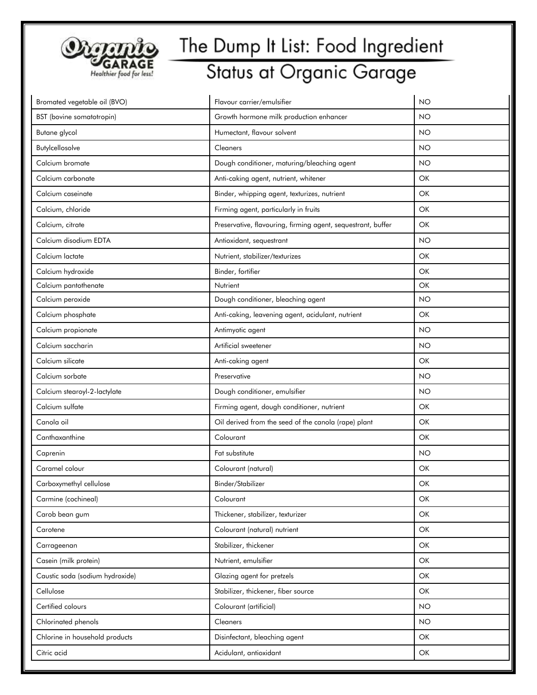

| Bromated vegetable oil (BVO)    | Flavour carrier/emulsifier                                   | <b>NO</b> |
|---------------------------------|--------------------------------------------------------------|-----------|
| BST (bovine somatotropin)       | Growth hormone milk production enhancer                      | <b>NO</b> |
| Butane glycol                   | Humectant, flavour solvent                                   | <b>NO</b> |
| Butylcellosolve                 | Cleaners                                                     | <b>NO</b> |
| Calcium bromate                 | Dough conditioner, maturing/bleaching agent                  | <b>NO</b> |
| Calcium carbonate               | Anti-caking agent, nutrient, whitener                        | OK        |
| Calcium caseinate               | Binder, whipping agent, texturizes, nutrient                 | OK        |
| Calcium, chloride               | Firming agent, particularly in fruits                        | OK        |
| Calcium, citrate                | Preservative, flavouring, firming agent, sequestrant, buffer | OK        |
| Calcium disodium EDTA           | Antioxidant, sequestrant                                     | <b>NO</b> |
| Calcium lactate                 | Nutrient, stabilizer/texturizes                              | OK        |
| Calcium hydroxide               | Binder, fortifier                                            | <b>OK</b> |
| Calcium pantothenate            | Nutrient                                                     | OK        |
| Calcium peroxide                | Dough conditioner, bleaching agent                           | <b>NO</b> |
| Calcium phosphate               | Anti-caking, leavening agent, acidulant, nutrient            | OK        |
| Calcium propionate              | Antimyotic agent                                             | <b>NO</b> |
| Calcium saccharin               | Artificial sweetener                                         | <b>NO</b> |
| Calcium silicate                | Anti-caking agent                                            | OK        |
| Calcium sorbate                 | Preservative                                                 | <b>NO</b> |
| Calcium stearoyl-2-lactylate    | Dough conditioner, emulsifier                                | <b>NO</b> |
| Calcium sulfate                 | Firming agent, dough conditioner, nutrient                   | OK        |
| Canola oil                      | Oil derived from the seed of the canola (rape) plant         | OK        |
| Canthaxanthine                  | Colourant                                                    | OK        |
| Caprenin                        | Fat substitute                                               | <b>NO</b> |
| Caramel colour                  | Colourant (natural)                                          | OK        |
| Carboxymethyl cellulose         | Binder/Stabilizer                                            | OK        |
| Carmine (cochineal)             | Colourant                                                    | OK        |
| Carob bean gum                  | Thickener, stabilizer, texturizer                            | OK        |
| Carotene                        | Colourant (natural) nutrient                                 | OK        |
| Carrageenan                     | Stabilizer, thickener                                        | OK        |
| Casein (milk protein)           | Nutrient, emulsifier                                         | OK        |
| Caustic soda (sodium hydroxide) | Glazing agent for pretzels                                   | OK        |
| Cellulose                       | Stabilizer, thickener, fiber source                          | OK        |
| Certified colours               | Colourant (artificial)                                       | <b>NO</b> |
| Chlorinated phenols             | Cleaners                                                     | <b>NO</b> |
| Chlorine in household products  | Disinfectant, bleaching agent                                | OK        |
| Citric acid                     | Acidulant, antioxidant                                       | OK        |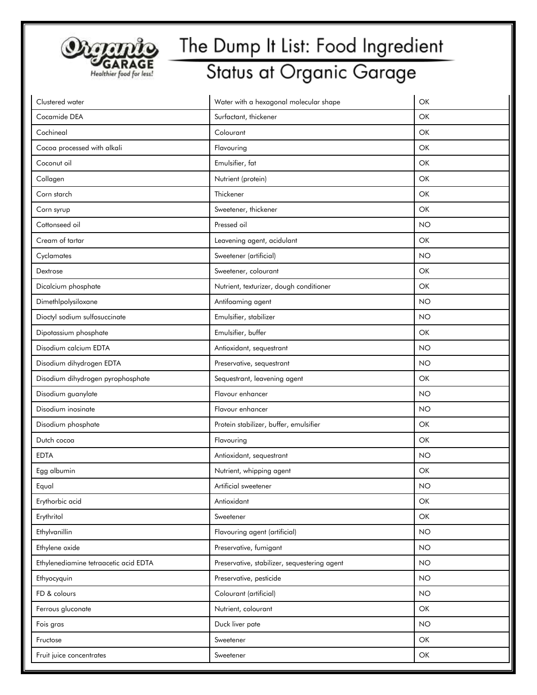

| Clustered water                       | Water with a hexagonal molecular shape       | OK        |
|---------------------------------------|----------------------------------------------|-----------|
| Cocamide DEA                          | Surfactant, thickener                        | OK        |
| Cochineal                             | Colourant                                    | OK        |
| Cocoa processed with alkali           | Flavouring                                   | OK        |
| Coconut oil                           | Emulsifier, fat                              | OK        |
| Collagen                              | Nutrient (protein)                           | OK        |
| Corn starch                           | Thickener                                    | OK        |
| Corn syrup                            | Sweetener, thickener                         | OK        |
| Cottonseed oil                        | Pressed oil                                  | <b>NO</b> |
| Cream of tartar                       | Leavening agent, acidulant                   | OK        |
| Cyclamates                            | Sweetener (artificial)                       | <b>NO</b> |
| Dextrose                              | Sweetener, colourant                         | OK        |
| Dicalcium phosphate                   | Nutrient, texturizer, dough conditioner      | OK        |
| Dimethlpolysiloxane                   | Antifoaming agent                            | <b>NO</b> |
| Dioctyl sodium sulfosuccinate         | Emulsifier, stabilizer                       | <b>NO</b> |
| Dipotassium phosphate                 | Emulsifier, buffer                           | OK        |
| Disodium calcium EDTA                 | Antioxidant, sequestrant                     | <b>NO</b> |
| Disodium dihydrogen EDTA              | Preservative, sequestrant                    | <b>NO</b> |
| Disodium dihydrogen pyrophosphate     | Sequestrant, leavening agent                 | OK        |
| Disodium guanylate                    | Flavour enhancer                             | <b>NO</b> |
| Disodium inosinate                    | Flavour enhancer                             | <b>NO</b> |
| Disodium phosphate                    | Protein stabilizer, buffer, emulsifier       | OK        |
| Dutch cocoa                           | Flavouring                                   | OK        |
| <b>EDTA</b>                           | Antioxidant, sequestrant                     | <b>NO</b> |
| Egg albumin                           | Nutrient, whipping agent                     | OK        |
| Equal                                 | Artificial sweetener                         | <b>NO</b> |
| Erythorbic acid                       | Antioxidant                                  | OK        |
| Erythritol                            | Sweetener                                    | OK        |
| Ethylvanillin                         | Flavouring agent (artificial)                | <b>NO</b> |
| Ethylene oxide                        | Preservative, fumigant                       | <b>NO</b> |
| Ethylenediamine tetraacetic acid EDTA | Preservative, stabilizer, sequestering agent | <b>NO</b> |
| Ethyocyquin                           | Preservative, pesticide                      | <b>NO</b> |
| FD & colours                          | Colourant (artificial)                       | <b>NO</b> |
| Ferrous gluconate                     | Nutrient, colourant                          | OK        |
| Fois gras                             | Duck liver pate                              | <b>NO</b> |
| Fructose                              | Sweetener                                    | OK        |
| Fruit juice concentrates              | Sweetener                                    | OK        |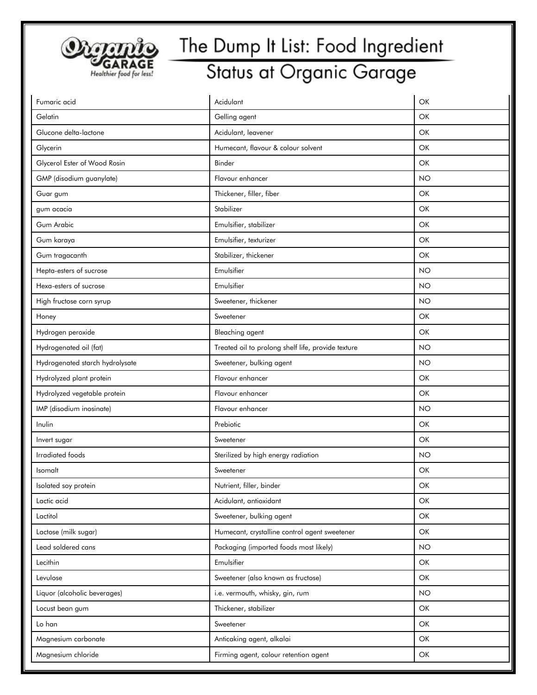

| Fumaric acid                    | Acidulant                                          | OK        |
|---------------------------------|----------------------------------------------------|-----------|
| Gelatin                         | Gelling agent                                      | OK        |
| Glucone delta-lactone           | Acidulant, leavener                                | OK        |
| Glycerin                        | Humecant, flavour & colour solvent                 | OK        |
| Glycerol Ester of Wood Rosin    | Binder                                             | OK        |
| GMP (disodium guanylate)        | Flavour enhancer                                   | <b>NO</b> |
| Guar gum                        | Thickener, filler, fiber                           | OK        |
| gum acacia                      | Stabilizer                                         | OK        |
| Gum Arabic                      | Emulsifier, stabilizer                             | OK        |
| Gum karaya                      | Emulsifier, texturizer                             | OK        |
| Gum tragacanth                  | Stabilizer, thickener                              | OK        |
| Hepta-esters of sucrose         | Emulsifier                                         | <b>NO</b> |
| Hexa-esters of sucrose          | Emulsifier                                         | <b>NO</b> |
| High fructose corn syrup        | Sweetener, thickener                               | <b>NO</b> |
| Honey                           | Sweetener                                          | OK        |
| Hydrogen peroxide               | Bleaching agent                                    | OK        |
| Hydrogenated oil (fat)          | Treated oil to prolong shelf life, provide texture | <b>NO</b> |
| Hydrogenated starch hydrolysate | Sweetener, bulking agent                           | <b>NO</b> |
| Hydrolyzed plant protein        | Flavour enhancer                                   | OK        |
| Hydrolyzed vegetable protein    | Flavour enhancer                                   | OK        |
| IMP (disodium inosinate)        | Flavour enhancer                                   | <b>NO</b> |
| Inulin                          | Prebiotic                                          | OK        |
| Invert sugar                    | Sweetener                                          | OK        |
| Irradiated foods                | Sterilized by high energy radiation                | <b>NO</b> |
| Isomalt                         | Sweetener                                          | OK        |
| Isolated soy protein            | Nutrient, filler, binder                           | OK        |
| Lactic acid                     | Acidulant, antioxidant                             | OK        |
| Lactitol                        | Sweetener, bulking agent                           | OK        |
| Lactose (milk sugar)            | Humecant, crystalline control agent sweetener      | OK        |
| Lead soldered cans              | Packaging (imported foods most likely)             | <b>NO</b> |
| Lecithin                        | Emulsifier                                         | OK        |
| Levulose                        | Sweetener (also known as fructose)                 | OK        |
| Liquor (alcoholic beverages)    | i.e. vermouth, whisky, gin, rum                    | <b>NO</b> |
| Locust bean gum                 | Thickener, stabilizer                              | OK        |
| Lo han                          | Sweetener                                          | OK        |
| Magnesium carbonate             | Anticaking agent, alkalai                          | OK        |
| Magnesium chloride              | Firming agent, colour retention agent              | OK        |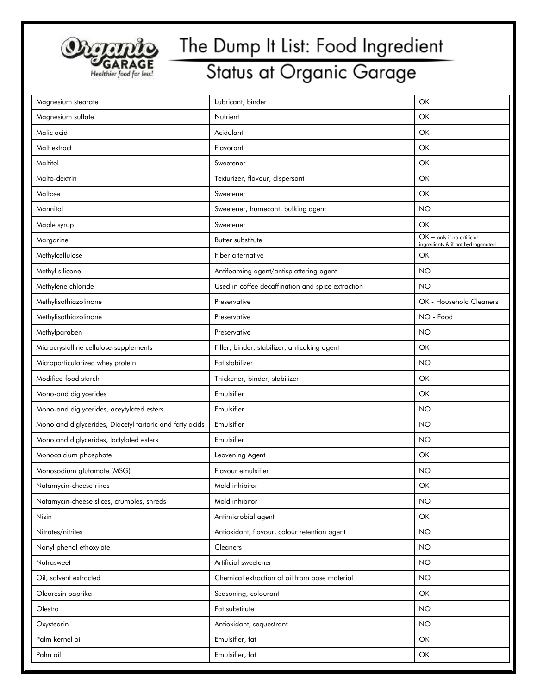

| Magnesium stearate                                       | Lubricant, binder                                 | OK                                                                |
|----------------------------------------------------------|---------------------------------------------------|-------------------------------------------------------------------|
| Magnesium sulfate                                        | Nutrient                                          | OK                                                                |
| Malic acid                                               | Acidulant                                         | OK                                                                |
| Malt extract                                             | Flavorant                                         | OK                                                                |
| Maltitol                                                 | Sweetener                                         | OK                                                                |
| Malto-dextrin                                            | Texturizer, flavour, dispersant                   | OK                                                                |
| Maltose                                                  | Sweetener                                         | OK                                                                |
| Mannitol                                                 | Sweetener, humecant, bulking agent                | <b>NO</b>                                                         |
| Maple syrup                                              | Sweetener                                         | OK                                                                |
| Margarine                                                | Butter substitute                                 | $OK -$ only if no artificial<br>ingredients & if not hydrogenated |
| Methylcellulose                                          | Fiber alternative                                 | OK                                                                |
| Methyl silicone                                          | Antifoaming agent/antisplattering agent           | <b>NO</b>                                                         |
| Methylene chloride                                       | Used in coffee decaffination and spice extraction | <b>NO</b>                                                         |
| Methylisothiazolinone                                    | Preservative                                      | OK - Household Cleaners                                           |
| Methylisothiazolinone                                    | Preservative                                      | NO - Food                                                         |
| Methylparaben                                            | Preservative                                      | <b>NO</b>                                                         |
| Microcrystalline cellulose-supplements                   | Filler, binder, stabilizer, anticaking agent      | OK                                                                |
| Microparticularized whey protein                         | Fat stabilizer                                    | <b>NO</b>                                                         |
| Modified food starch                                     | Thickener, binder, stabilizer                     | OK                                                                |
| Mono-and diglycerides                                    | Emulsifier                                        | OK                                                                |
| Mono-and diglycerides, aceytylated esters                | Emulsifier                                        | <b>NO</b>                                                         |
| Mono and diglycerides, Diacetyl tartaric and fatty acids | Emulsifier                                        | <b>NO</b>                                                         |
| Mono and diglycerides, lactylated esters                 | Emulsifier                                        | <b>NO</b>                                                         |
| Monocalcium phosphate                                    | Leavening Agent                                   | OK                                                                |
| Monosodium glutamate (MSG)                               | Flavour emulsifier                                | <b>NO</b>                                                         |
| Natamycin-cheese rinds                                   | Mold inhibitor                                    | OK                                                                |
| Natamycin-cheese slices, crumbles, shreds                | Mold inhibitor                                    | <b>NO</b>                                                         |
| Nisin                                                    | Antimicrobial agent                               | OK                                                                |
| Nitrates/nitrites                                        | Antioxidant, flavour, colour retention agent      | <b>NO</b>                                                         |
| Nonyl phenol ethoxylate                                  | Cleaners                                          | <b>NO</b>                                                         |
| Nutrasweet                                               | Artificial sweetener                              | <b>NO</b>                                                         |
| Oil, solvent extracted                                   | Chemical extraction of oil from base material     | <b>NO</b>                                                         |
| Oleoresin paprika                                        | Seasoning, colourant                              | OK                                                                |
| Olestra                                                  | Fat substitute                                    | <b>NO</b>                                                         |
| Oxystearin                                               | Antioxidant, sequestrant                          | <b>NO</b>                                                         |
| Palm kernel oil                                          | Emulsifier, fat                                   | OK                                                                |
| Palm oil                                                 | Emulsifier, fat                                   | OK                                                                |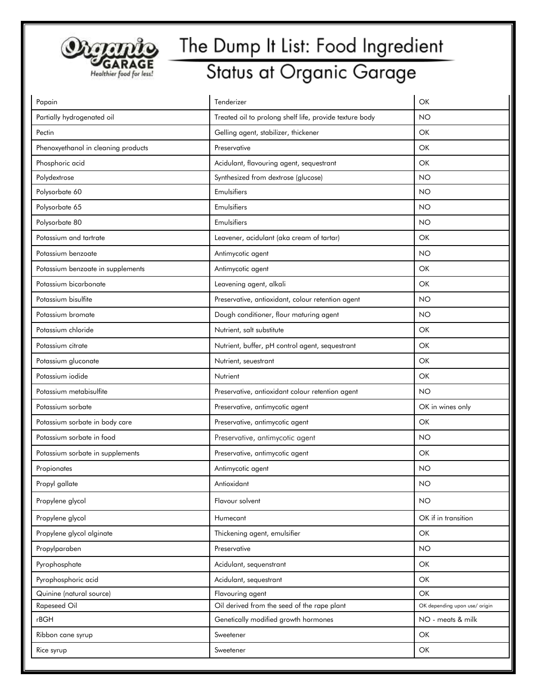

| Papain                              | Tenderizer                                              | OK                            |
|-------------------------------------|---------------------------------------------------------|-------------------------------|
| Partially hydrogenated oil          | Treated oil to prolong shelf life, provide texture body | <b>NO</b>                     |
| Pectin                              | Gelling agent, stabilizer, thickener                    | <b>OK</b>                     |
| Phenoxyethanol in cleaning products | Preservative                                            | OK                            |
| Phosphoric acid                     | Acidulant, flavouring agent, sequestrant                | OK                            |
| Polydextrose                        | Synthesized from dextrose (glucose)                     | <b>NO</b>                     |
| Polysorbate 60                      | Emulsifiers                                             | NO                            |
| Polysorbate 65                      | Emulsifiers                                             | <b>NO</b>                     |
| Polysorbate 80                      | Emulsifiers                                             | <b>NO</b>                     |
| Potassium and tartrate              | Leavener, acidulant (aka cream of tartar)               | OK                            |
| Potassium benzoate                  | Antimycotic agent                                       | <b>NO</b>                     |
| Potassium benzoate in supplements   | Antimycotic agent                                       | OK                            |
| Potassium bicarbonate               | Leavening agent, alkali                                 | OK                            |
| Potassium bisulfite                 | Preservative, antioxidant, colour retention agent       | <b>NO</b>                     |
| Potassium bromate                   | Dough conditioner, flour maturing agent                 | <b>NO</b>                     |
| Potassium chloride                  | Nutrient, salt substitute                               | OK                            |
| Potassium citrate                   | Nutrient, buffer, pH control agent, sequestrant         | OK                            |
| Potassium gluconate                 | Nutrient, seuestrant                                    | OK                            |
| Potassium iodide                    | Nutrient                                                | OK                            |
| Potassium metabisulfite             | Preservative, antioxidant colour retention agent        | <b>NO</b>                     |
| Potassium sorbate                   | Preservative, antimycotic agent                         | OK in wines only              |
| Potassium sorbate in body care      | Preservative, antimycotic agent                         | OK                            |
| Potassium sorbate in food           | Preservative, antimycotic agent                         | <b>NO</b>                     |
| Potassium sorbate in supplements    | Preservative, antimycotic agent                         | OK                            |
| Propionates                         | Antimycotic agent                                       | NO                            |
| Propyl gallate                      | Antioxidant                                             | <b>NO</b>                     |
| Propylene glycol                    | Flavour solvent                                         | <b>NO</b>                     |
| Propylene glycol                    | Humecant                                                | OK if in transition           |
| Propylene glycol alginate           | Thickening agent, emulsifier                            | OK                            |
| Propylparaben                       | Preservative                                            | <b>NO</b>                     |
| Pyrophosphate                       | Acidulant, sequenstrant                                 | OK                            |
| Pyrophosphoric acid                 | Acidulant, sequestrant                                  | OK                            |
| Quinine (natural source)            | Flavouring agent                                        | <b>OK</b>                     |
| Rapeseed Oil                        | Oil derived from the seed of the rape plant             | OK depending upon use/ origin |
| rBGH                                | Genetically modified growth hormones                    | NO - meats & milk             |
| Ribbon cane syrup                   | Sweetener                                               | OK                            |
| Rice syrup                          | Sweetener                                               | OK                            |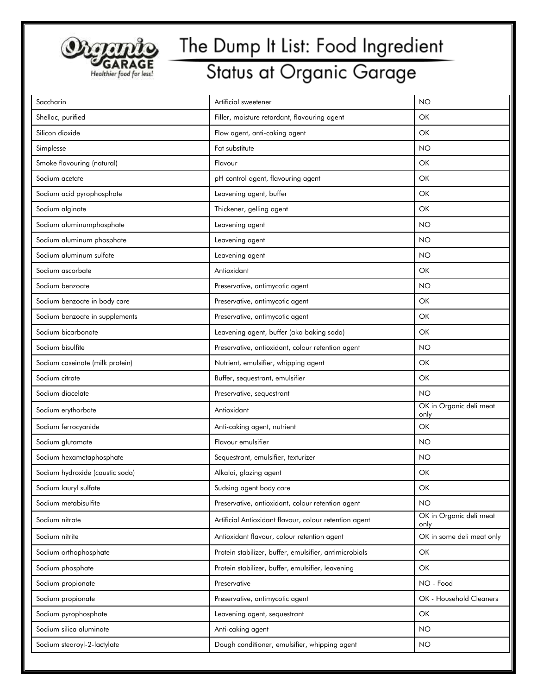

| Saccharin                       | Artificial sweetener                                   | <b>NO</b>                       |
|---------------------------------|--------------------------------------------------------|---------------------------------|
| Shellac, purified               | Filler, moisture retardant, flavouring agent           | OK                              |
| Silicon dioxide                 | Flow agent, anti-caking agent                          | OK                              |
| Simplesse                       | Fat substitute                                         | <b>NO</b>                       |
| Smoke flavouring (natural)      | Flavour                                                | OK                              |
| Sodium acetate                  | pH control agent, flavouring agent                     | OK                              |
| Sodium acid pyrophosphate       | Leavening agent, buffer                                | OK                              |
| Sodium alginate                 | Thickener, gelling agent                               | OK                              |
| Sodium aluminumphosphate        | Leavening agent                                        | <b>NO</b>                       |
| Sodium aluminum phosphate       | Leavening agent                                        | NO                              |
| Sodium aluminum sulfate         | Leavening agent                                        | <b>NO</b>                       |
| Sodium ascorbate                | Antioxidant                                            | OK                              |
| Sodium benzoate                 | Preservative, antimycotic agent                        | <b>NO</b>                       |
| Sodium benzoate in body care    | Preservative, antimycotic agent                        | OK                              |
| Sodium benzoate in supplements  | Preservative, antimycotic agent                        | OK                              |
| Sodium bicarbonate              | Leavening agent, buffer (aka baking soda)              | <b>OK</b>                       |
| Sodium bisulfite                | Preservative, antioxidant, colour retention agent      | <b>NO</b>                       |
| Sodium caseinate (milk protein) | Nutrient, emulsifier, whipping agent                   | OK                              |
| Sodium citrate                  | Buffer, sequestrant, emulsifier                        | OK                              |
| Sodium diacelate                | Preservative, sequestrant                              | <b>NO</b>                       |
| Sodium erythorbate              | Antioxidant                                            | OK in Organic deli meat<br>only |
| Sodium ferrocyanide             | Anti-caking agent, nutrient                            | <b>OK</b>                       |
| Sodium glutamate                | Flavour emulsifier                                     | <b>NO</b>                       |
| Sodium hexametaphosphate        | Sequestrant, emulsifier, texturizer                    | <b>NO</b>                       |
| Sodium hydroxide (caustic soda) | Alkalai, glazing agent                                 | OK                              |
| Sodium lauryl sulfate           | Sudsing agent body care                                | OK                              |
| Sodium metabisulfite            | Preservative, antioxidant, colour retention agent      | <b>NO</b>                       |
| Sodium nitrate                  | Artificial Antioxidant flavour, colour retention agent | OK in Organic deli meat<br>only |
| Sodium nitrite                  | Antioxidant flavour, colour retention agent            | OK in some deli meat only       |
| Sodium orthophosphate           | Protein stabilizer, buffer, emulsifier, antimicrobials | OK                              |
| Sodium phosphate                | Protein stabilizer, buffer, emulsifier, leavening      | OK                              |
| Sodium propionate               | Preservative                                           | NO - Food                       |
| Sodium propionate               | Preservative, antimycotic agent                        | OK - Household Cleaners         |
| Sodium pyrophosphate            | Leavening agent, sequestrant                           | OK                              |
| Sodium silica aluminate         | Anti-caking agent                                      | NO                              |
| Sodium stearoyl-2-lactylate     | Dough conditioner, emulsifier, whipping agent          | <b>NO</b>                       |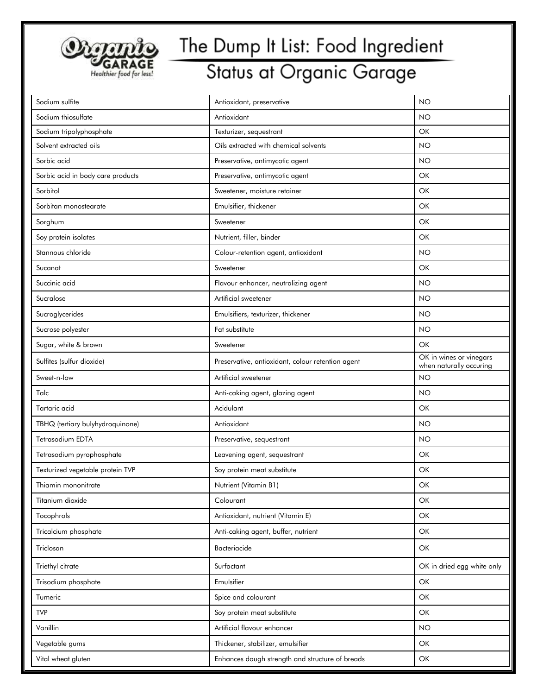

| Sodium sulfite                    | Antioxidant, preservative                         | <b>NO</b>                                          |
|-----------------------------------|---------------------------------------------------|----------------------------------------------------|
| Sodium thiosulfate                | Antioxidant                                       | <b>NO</b>                                          |
| Sodium tripolyphosphate           | Texturizer, sequestrant                           | OK                                                 |
| Solvent extracted oils            | Oils extracted with chemical solvents             | <b>NO</b>                                          |
| Sorbic acid                       | Preservative, antimycotic agent                   | <b>NO</b>                                          |
| Sorbic acid in body care products | Preservative, antimycotic agent                   | OK                                                 |
| Sorbitol                          | Sweetener, moisture retainer                      | OK                                                 |
| Sorbitan monostearate             | Emulsifier, thickener                             | OK                                                 |
| Sorghum                           | Sweetener                                         | OK                                                 |
| Soy protein isolates              | Nutrient, filler, binder                          | OK                                                 |
| Stannous chloride                 | Colour-retention agent, antioxidant               | <b>NO</b>                                          |
| Sucanat                           | Sweetener                                         | OK                                                 |
| Succinic acid                     | Flavour enhancer, neutralizing agent              | <b>NO</b>                                          |
| Sucralose                         | Artificial sweetener                              | <b>NO</b>                                          |
| Sucroglycerides                   | Emulsifiers, texturizer, thickener                | <b>NO</b>                                          |
| Sucrose polyester                 | Fat substitute                                    | <b>NO</b>                                          |
| Sugar, white & brown              | Sweetener                                         | OK                                                 |
| Sulfites (sulfur dioxide)         | Preservative, antioxidant, colour retention agent | OK in wines or vinegars<br>when naturally occuring |
| Sweet-n-low                       | Artificial sweetener                              | <b>NO</b>                                          |
| Talc                              | Anti-caking agent, glazing agent                  | <b>NO</b>                                          |
| Tartaric acid                     | Acidulant                                         | OK                                                 |
| TBHQ (tertiary bulyhydroquinone)  | Antioxidant                                       | <b>NO</b>                                          |
| Tetrasodium EDTA                  | Preservative, sequestrant                         | <b>NO</b>                                          |
| Tetrasodium pyrophosphate         | Leavening agent, sequestrant                      | OK                                                 |
| Texturized vegetable protein TVP  | Soy protein meat substitute                       | OK                                                 |
| Thiamin mononitrate               | Nutrient (Vitamin B1)                             | OK                                                 |
| Titanium dioxide                  | Colourant                                         | OK                                                 |
| Tocophrols                        | Antioxidant, nutrient (Vitamin E)                 | OK                                                 |
| Tricalcium phosphate              | Anti-caking agent, buffer, nutrient               | OK                                                 |
| Triclosan                         | Bacteriacide                                      | OK                                                 |
| Triethyl citrate                  | Surfactant                                        | OK in dried egg white only                         |
| Trisodium phosphate               | Emulsifier                                        | OK                                                 |
| Tumeric                           | Spice and colourant                               | OK                                                 |
| <b>TVP</b>                        | Soy protein meat substitute                       | OK                                                 |
| Vanillin                          | Artificial flavour enhancer                       | <b>NO</b>                                          |
| Vegetable gums                    | Thickener, stabilizer, emulsifier                 | OK                                                 |
| Vital wheat gluten                | Enhances dough strength and structure of breads   | OK                                                 |